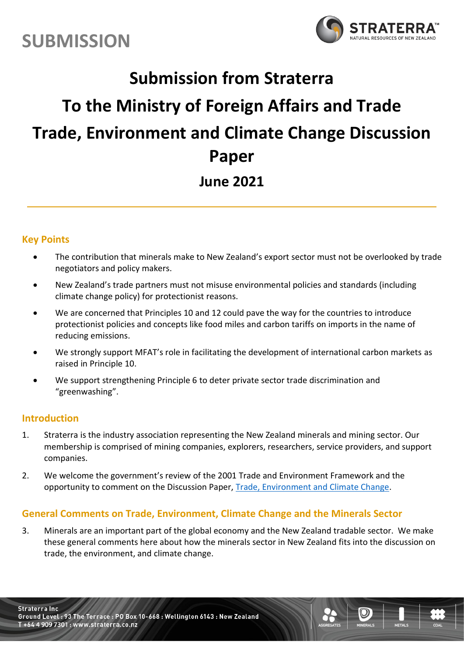



# **Submission from Straterra To the Ministry of Foreign Affairs and Trade Trade, Environment and Climate Change Discussion Paper June 2021**

### **Key Points**

- The contribution that minerals make to New Zealand's export sector must not be overlooked by trade negotiators and policy makers.
- New Zealand's trade partners must not misuse environmental policies and standards (including climate change policy) for protectionist reasons.
- We are concerned that Principles 10 and 12 could pave the way for the countries to introduce protectionist policies and concepts like food miles and carbon tariffs on imports in the name of reducing emissions.
- We strongly support MFAT's role in facilitating the development of international carbon markets as raised in Principle 10.
- We support strengthening Principle 6 to deter private sector trade discrimination and "greenwashing".

### **Introduction**

- 1. Straterra is the industry association representing the New Zealand minerals and mining sector. Our membership is comprised of mining companies, explorers, researchers, service providers, and support companies.
- 2. We welcome the government's review of the 2001 Trade and Environment Framework and the opportunity to comment on the Discussion Paper, [Trade, Environment and Climate Change.](https://www.mfat.govt.nz/assets/Trade/Trade-and-Environment-Full-Visual.pdf)

### **General Comments on Trade, Environment, Climate Change and the Minerals Sector**

3. Minerals are an important part of the global economy and the New Zealand tradable sector. We make these general comments here about how the minerals sector in New Zealand fits into the discussion on trade, the environment, and climate change.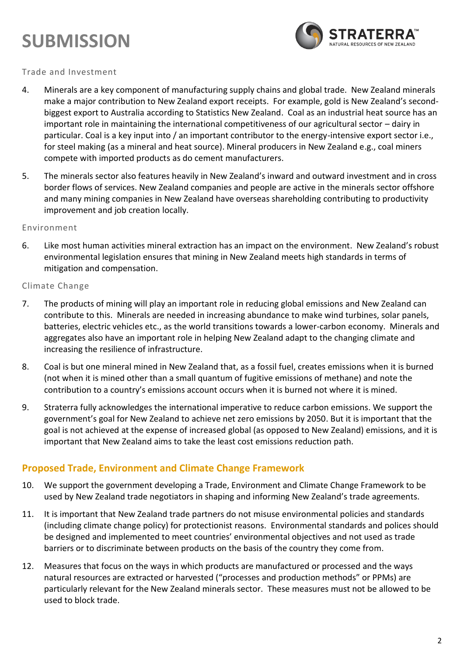## **SUBMISSION**



### Trade and Investment

- 4. Minerals are a key component of manufacturing supply chains and global trade. New Zealand minerals make a major contribution to New Zealand export receipts. For example, gold is New Zealand's secondbiggest export to Australia according to Statistics New Zealand. Coal as an industrial heat source has an important role in maintaining the international competitiveness of our agricultural sector – dairy in particular. Coal is a key input into / an important contributor to the energy-intensive export sector i.e., for steel making (as a mineral and heat source). Mineral producers in New Zealand e.g., coal miners compete with imported products as do cement manufacturers.
- 5. The minerals sector also features heavily in New Zealand's inward and outward investment and in cross border flows of services. New Zealand companies and people are active in the minerals sector offshore and many mining companies in New Zealand have overseas shareholding contributing to productivity improvement and job creation locally.

### Environment

6. Like most human activities mineral extraction has an impact on the environment. New Zealand's robust environmental legislation ensures that mining in New Zealand meets high standards in terms of mitigation and compensation.

### Climate Change

- 7. The products of mining will play an important role in reducing global emissions and New Zealand can contribute to this. Minerals are needed in increasing abundance to make wind turbines, solar panels, batteries, electric vehicles etc., as the world transitions towards a lower-carbon economy. Minerals and aggregates also have an important role in helping New Zealand adapt to the changing climate and increasing the resilience of infrastructure.
- 8. Coal is but one mineral mined in New Zealand that, as a fossil fuel, creates emissions when it is burned (not when it is mined other than a small quantum of fugitive emissions of methane) and note the contribution to a country's emissions account occurs when it is burned not where it is mined.
- 9. Straterra fully acknowledges the international imperative to reduce carbon emissions. We support the government's goal for New Zealand to achieve net zero emissions by 2050. But it is important that the goal is not achieved at the expense of increased global (as opposed to New Zealand) emissions, and it is important that New Zealand aims to take the least cost emissions reduction path.

### **Proposed Trade, Environment and Climate Change Framework**

- 10. We support the government developing a Trade, Environment and Climate Change Framework to be used by New Zealand trade negotiators in shaping and informing New Zealand's trade agreements.
- 11. It is important that New Zealand trade partners do not misuse environmental policies and standards (including climate change policy) for protectionist reasons. Environmental standards and polices should be designed and implemented to meet countries' environmental objectives and not used as trade barriers or to discriminate between products on the basis of the country they come from.
- 12. Measures that focus on the ways in which products are manufactured or processed and the ways natural resources are extracted or harvested ("processes and production methods" or PPMs) are particularly relevant for the New Zealand minerals sector. These measures must not be allowed to be used to block trade.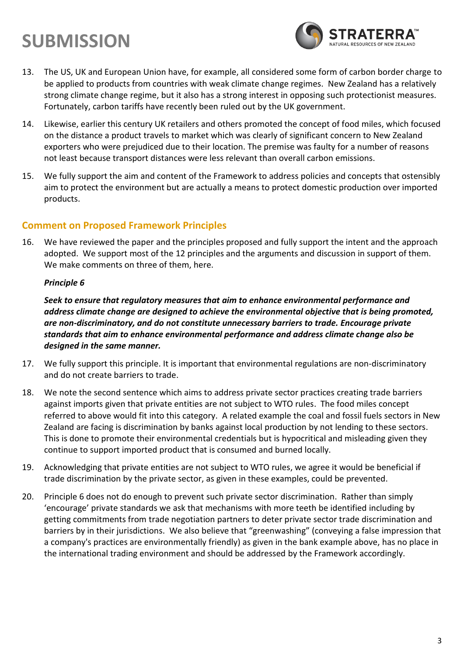### **SUBMISSION**



- 13. The US, UK and European Union have, for example, all considered some form of carbon border charge to be applied to products from countries with weak climate change regimes. New Zealand has a relatively strong climate change regime, but it also has a strong interest in opposing such protectionist measures. Fortunately, carbon tariffs have recently been ruled out by the UK government.
- 14. Likewise, earlier this century UK retailers and others promoted the concept of food miles, which focused on the distance a product travels to market which was clearly of significant concern to New Zealand exporters who were prejudiced due to their location. The premise was faulty for a number of reasons not least because transport distances were less relevant than overall carbon emissions.
- 15. We fully support the aim and content of the Framework to address policies and concepts that ostensibly aim to protect the environment but are actually a means to protect domestic production over imported products.

### **Comment on Proposed Framework Principles**

16. We have reviewed the paper and the principles proposed and fully support the intent and the approach adopted. We support most of the 12 principles and the arguments and discussion in support of them. We make comments on three of them, here.

### *Principle 6*

*Seek to ensure that regulatory measures that aim to enhance environmental performance and address climate change are designed to achieve the environmental objective that is being promoted, are non-discriminatory, and do not constitute unnecessary barriers to trade. Encourage private standards that aim to enhance environmental performance and address climate change also be designed in the same manner.*

- 17. We fully support this principle. It is important that environmental regulations are non-discriminatory and do not create barriers to trade.
- 18. We note the second sentence which aims to address private sector practices creating trade barriers against imports given that private entities are not subject to WTO rules. The food miles concept referred to above would fit into this category. A related example the coal and fossil fuels sectors in New Zealand are facing is discrimination by banks against local production by not lending to these sectors. This is done to promote their environmental credentials but is hypocritical and misleading given they continue to support imported product that is consumed and burned locally.
- 19. Acknowledging that private entities are not subject to WTO rules, we agree it would be beneficial if trade discrimination by the private sector, as given in these examples, could be prevented.
- 20. Principle 6 does not do enough to prevent such private sector discrimination. Rather than simply 'encourage' private standards we ask that mechanisms with more teeth be identified including by getting commitments from trade negotiation partners to deter private sector trade discrimination and barriers by in their jurisdictions. We also believe that "greenwashing" (conveying a false impression that a company's practices are environmentally friendly) as given in the bank example above, has no place in the international trading environment and should be addressed by the Framework accordingly.